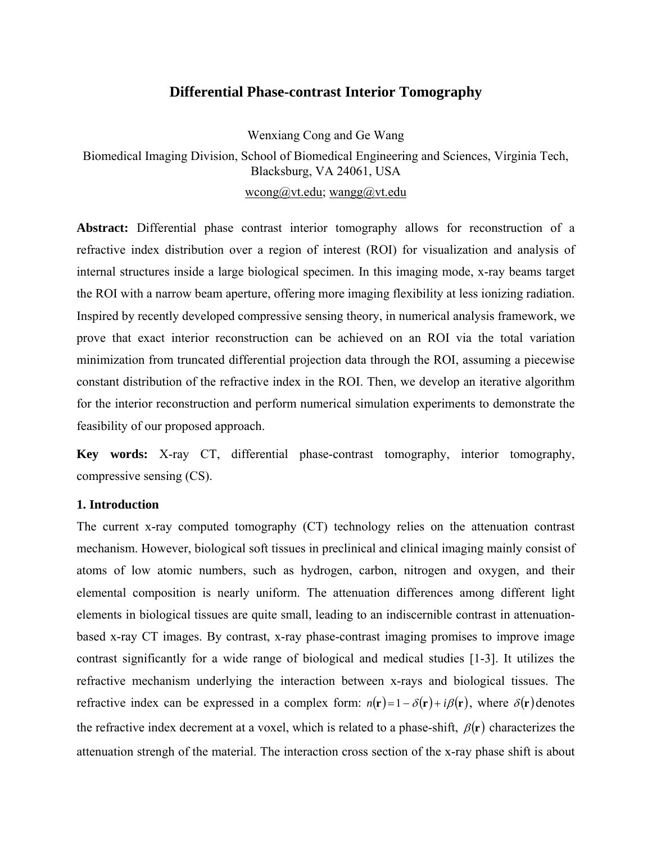# **Differential Phase-contrast Interior Tomography**

Wenxiang Cong and Ge Wang

Biomedical Imaging Division, School of Biomedical Engineering and Sciences, Virginia Tech, Blacksburg, VA 24061, USA wcong@vt.edu; wangg@vt.edu

**Abstract:** Differential phase contrast interior tomography allows for reconstruction of a refractive index distribution over a region of interest (ROI) for visualization and analysis of internal structures inside a large biological specimen. In this imaging mode, x-ray beams target the ROI with a narrow beam aperture, offering more imaging flexibility at less ionizing radiation. Inspired by recently developed compressive sensing theory, in numerical analysis framework, we prove that exact interior reconstruction can be achieved on an ROI via the total variation minimization from truncated differential projection data through the ROI, assuming a piecewise constant distribution of the refractive index in the ROI. Then, we develop an iterative algorithm for the interior reconstruction and perform numerical simulation experiments to demonstrate the feasibility of our proposed approach.

**Key words:** X-ray CT, differential phase-contrast tomography, interior tomography, compressive sensing (CS).

## **1. Introduction**

The current x-ray computed tomography (CT) technology relies on the attenuation contrast mechanism. However, biological soft tissues in preclinical and clinical imaging mainly consist of atoms of low atomic numbers, such as hydrogen, carbon, nitrogen and oxygen, and their elemental composition is nearly uniform. The attenuation differences among different light elements in biological tissues are quite small, leading to an indiscernible contrast in attenuationbased x-ray CT images. By contrast, x-ray phase-contrast imaging promises to improve image contrast significantly for a wide range of biological and medical studies [1-3]. It utilizes the refractive mechanism underlying the interaction between x-rays and biological tissues. The refractive index can be expressed in a complex form:  $n(\mathbf{r}) = 1 - \delta(\mathbf{r}) + i\beta(\mathbf{r})$ , where  $\delta(\mathbf{r})$  denotes the refractive index decrement at a voxel, which is related to a phase-shift,  $\beta(\mathbf{r})$  characterizes the attenuation strengh of the material. The interaction cross section of the x-ray phase shift is about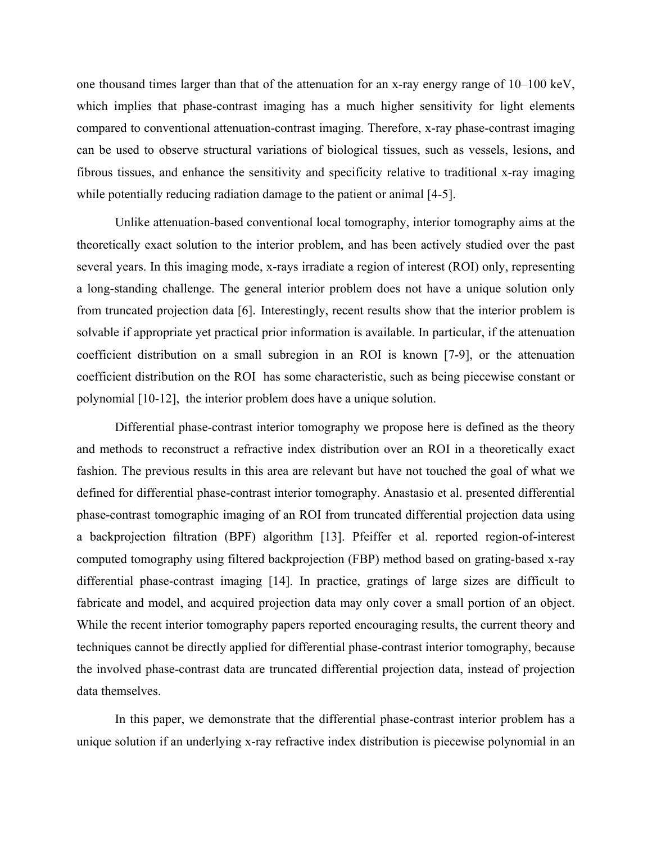one thousand times larger than that of the attenuation for an x-ray energy range of 10–100 keV, which implies that phase-contrast imaging has a much higher sensitivity for light elements compared to conventional attenuation-contrast imaging. Therefore, x-ray phase-contrast imaging can be used to observe structural variations of biological tissues, such as vessels, lesions, and fibrous tissues, and enhance the sensitivity and specificity relative to traditional x-ray imaging while potentially reducing radiation damage to the patient or animal [4-5].

Unlike attenuation-based conventional local tomography, interior tomography aims at the theoretically exact solution to the interior problem, and has been actively studied over the past several years. In this imaging mode, x-rays irradiate a region of interest (ROI) only, representing a long-standing challenge. The general interior problem does not have a unique solution only from truncated projection data [6]. Interestingly, recent results show that the interior problem is solvable if appropriate yet practical prior information is available. In particular, if the attenuation coefficient distribution on a small subregion in an ROI is known [7-9], or the attenuation coefficient distribution on the ROI has some characteristic, such as being piecewise constant or polynomial [10-12], the interior problem does have a unique solution.

Differential phase-contrast interior tomography we propose here is defined as the theory and methods to reconstruct a refractive index distribution over an ROI in a theoretically exact fashion. The previous results in this area are relevant but have not touched the goal of what we defined for differential phase-contrast interior tomography. Anastasio et al. presented differential phase-contrast tomographic imaging of an ROI from truncated differential projection data using a backprojection filtration (BPF) algorithm [13]. Pfeiffer et al. reported region-of-interest computed tomography using filtered backprojection (FBP) method based on grating-based x-ray differential phase-contrast imaging [14]. In practice, gratings of large sizes are difficult to fabricate and model, and acquired projection data may only cover a small portion of an object. While the recent interior tomography papers reported encouraging results, the current theory and techniques cannot be directly applied for differential phase-contrast interior tomography, because the involved phase-contrast data are truncated differential projection data, instead of projection data themselves.

In this paper, we demonstrate that the differential phase-contrast interior problem has a unique solution if an underlying x-ray refractive index distribution is piecewise polynomial in an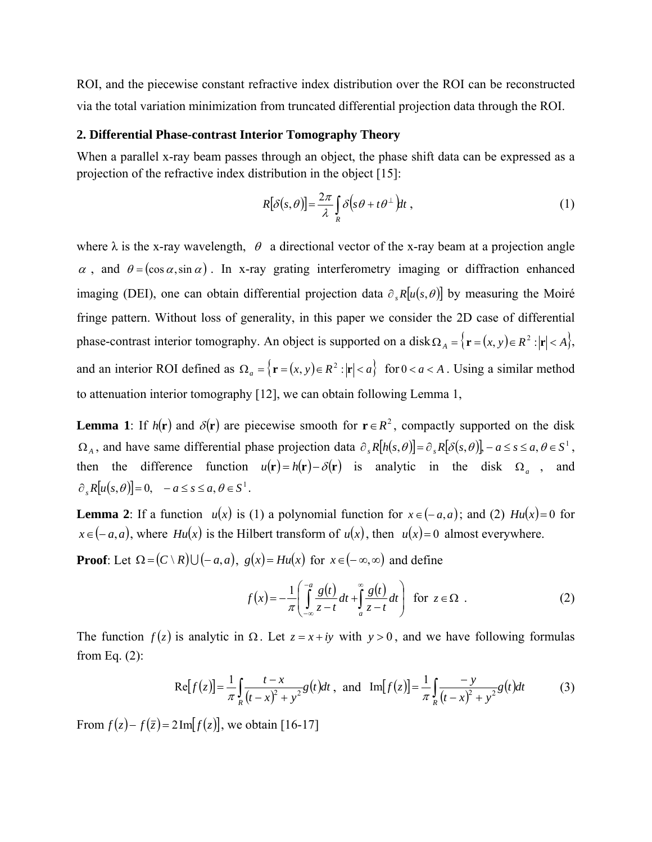ROI, and the piecewise constant refractive index distribution over the ROI can be reconstructed via the total variation minimization from truncated differential projection data through the ROI.

### **2. Differential Phase-contrast Interior Tomography Theory**

When a parallel x-ray beam passes through an object, the phase shift data can be expressed as a projection of the refractive index distribution in the object [15]:

$$
R[\delta(s,\theta)] = \frac{2\pi}{\lambda} \int_{R} \delta(s\theta + t\theta^{\perp}) dt,
$$
 (1)

where  $\lambda$  is the x-ray wavelength,  $\theta$  a directional vector of the x-ray beam at a projection angle  $\alpha$ , and  $\theta = (\cos \alpha, \sin \alpha)$ . In x-ray grating interferometry imaging or diffraction enhanced imaging (DEI), one can obtain differential projection data  $\partial_{s}R[u(s,\theta)]$  by measuring the Moiré fringe pattern. Without loss of generality, in this paper we consider the 2D case of differential phase-contrast interior tomography. An object is supported on a disk  $\Omega_A = \{ \mathbf{r} = (x, y) \in R^2 : |\mathbf{r}| < A \}$ , and an interior ROI defined as  $\Omega_a = \{ \mathbf{r} = (x, y) \in \mathbb{R}^2 : |\mathbf{r}| < a \}$  for  $0 < a < A$ . Using a similar method to attenuation interior tomography [12], we can obtain following Lemma 1,

**Lemma 1**: If  $h(\mathbf{r})$  and  $\delta(\mathbf{r})$  are piecewise smooth for  $\mathbf{r} \in R^2$ , compactly supported on the disk  $\Omega_A$ , and have same differential phase projection data  $\partial_s R[h(s, \theta)] = \partial_s R[\delta(s, \theta)] - a \leq s \leq a, \theta \in S^1$ , then the difference function  $u(\mathbf{r}) = h(\mathbf{r}) - \delta(\mathbf{r})$  is analytic in the disk  $\Omega_a$ , and  $\partial R[u(s, \theta)] = 0, \quad -a \leq s \leq a, \theta \in S^1.$ 

**Lemma 2**: If a function  $u(x)$  is (1) a polynomial function for  $x \in (-a, a)$ ; and (2)  $Hu(x) = 0$  for  $x \in (-a, a)$ , where *Hu(x)* is the Hilbert transform of  $u(x)$ , then  $u(x)=0$  almost everywhere.

**Proof**: Let  $\Omega = (C \setminus R) \cup (-a, a), g(x) = Hu(x)$  for  $x \in (-\infty, \infty)$  and define

$$
f(x) = -\frac{1}{\pi} \left( \int_{-\infty}^{-a} \frac{g(t)}{z - t} dt + \int_{a}^{\infty} \frac{g(t)}{z - t} dt \right) \text{ for } z \in \Omega .
$$
 (2)

The function  $f(z)$  is analytic in  $\Omega$ . Let  $z = x + iy$  with  $y > 0$ , and we have following formulas from Eq. (2):

$$
\text{Re}[f(z)] = \frac{1}{\pi} \int_{R} \frac{t - x}{(t - x)^2 + y^2} g(t) dt \text{ , and } \text{Im}[f(z)] = \frac{1}{\pi} \int_{R} \frac{-y}{(t - x)^2 + y^2} g(t) dt \tag{3}
$$

From  $f(z) - f(\overline{z}) = 2 \text{Im}[f(z)]$ , we obtain [16-17]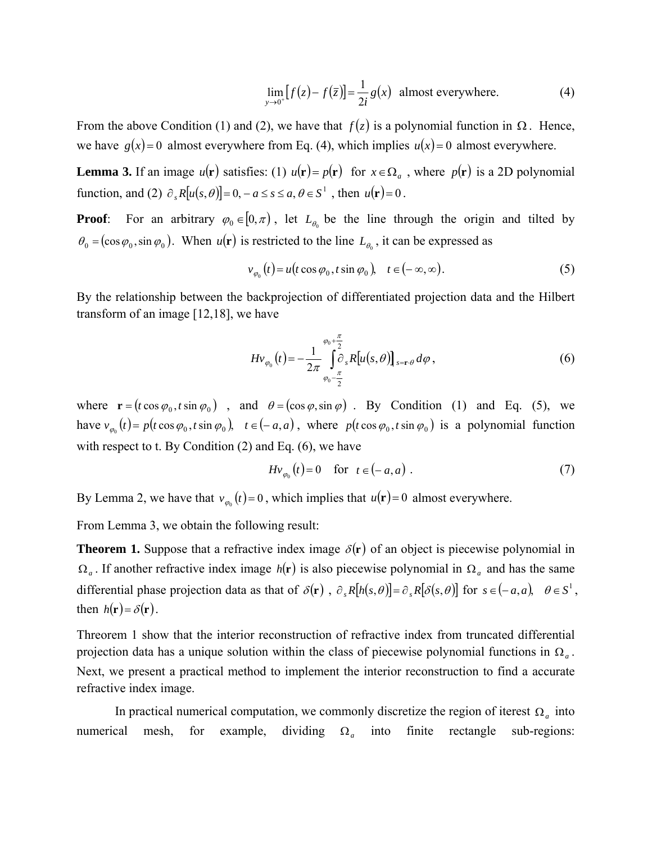$$
\lim_{y \to 0^+} [f(z) - f(\overline{z})] = \frac{1}{2i} g(x)
$$
 almost everywhere. (4)

From the above Condition (1) and (2), we have that  $f(z)$  is a polynomial function in  $\Omega$ . Hence, we have  $g(x)=0$  almost everywhere from Eq. (4), which implies  $u(x)=0$  almost everywhere.

**Lemma 3.** If an image  $u(\mathbf{r})$  satisfies: (1)  $u(\mathbf{r}) = p(\mathbf{r})$  for  $x \in \Omega_a$ , where  $p(\mathbf{r})$  is a 2D polynomial function, and (2)  $\partial_s R[u(s, \theta)] = 0, -a \le s \le a, \theta \in S^1$ , then  $u(\mathbf{r}) = 0$ .

**Proof**: For an arbitrary  $\varphi_0 \in [0, \pi)$ , let  $L_{\theta_0}$  be the line through the origin and tilted by  $\theta_0 = (\cos \varphi_0, \sin \varphi_0)$ . When  $u(\mathbf{r})$  is restricted to the line  $L_{\theta_0}$ , it can be expressed as

$$
v_{\varphi_0}(t) = u(t \cos \varphi_0, t \sin \varphi_0), \quad t \in (-\infty, \infty).
$$
 (5)

By the relationship between the backprojection of differentiated projection data and the Hilbert transform of an image [12,18], we have

$$
Hv_{\varphi_0}(t) = -\frac{1}{2\pi} \int_{\varphi_0 - \frac{\pi}{2}}^{\varphi_0 + \frac{\pi}{2}} \delta_s R[u(s, \theta)]_{s = \mathbf{r} \cdot \theta} d\varphi , \qquad (6)
$$

where  $\mathbf{r} = (t \cos \varphi_0, t \sin \varphi_0)$ , and  $\theta = (\cos \varphi, \sin \varphi)$ . By Condition (1) and Eq. (5), we have  $v_{\varphi_0}(t) = p(t \cos \varphi_0, t \sin \varphi_0)$ ,  $t \in (-a, a)$ , where  $p(t \cos \varphi_0, t \sin \varphi_0)$  is a polynomial function with respect to t. By Condition  $(2)$  and Eq.  $(6)$ , we have

$$
Hv_{\varphi_0}(t) = 0 \quad \text{for} \quad t \in (-a, a) \tag{7}
$$

By Lemma 2, we have that  $v_{\varphi_0}(t) = 0$ , which implies that  $u(\mathbf{r}) = 0$  almost everywhere.

From Lemma 3, we obtain the following result:

**Theorem 1.** Suppose that a refractive index image  $\delta(\mathbf{r})$  of an object is piecewise polynomial in  $\Omega_a$ . If another refractive index image  $h(\mathbf{r})$  is also piecewise polynomial in  $\Omega_a$  and has the same differential phase projection data as that of  $\delta(\mathbf{r})$ ,  $\partial_s R[h(s, \theta)] = \partial_s R[\delta(s, \theta)]$  for  $s \in (-a, a)$ ,  $\theta \in S^1$ , then  $h(\mathbf{r}) = \delta(\mathbf{r})$ .

Threorem 1 show that the interior reconstruction of refractive index from truncated differential projection data has a unique solution within the class of piecewise polynomial functions in  $\Omega_a$ . Next, we present a practical method to implement the interior reconstruction to find a accurate refractive index image.

In practical numerical computation, we commonly discretize the region of iterest  $\Omega_a$  into numerical mesh, for example, dividing  $\Omega_a$  into finite rectangle sub-regions: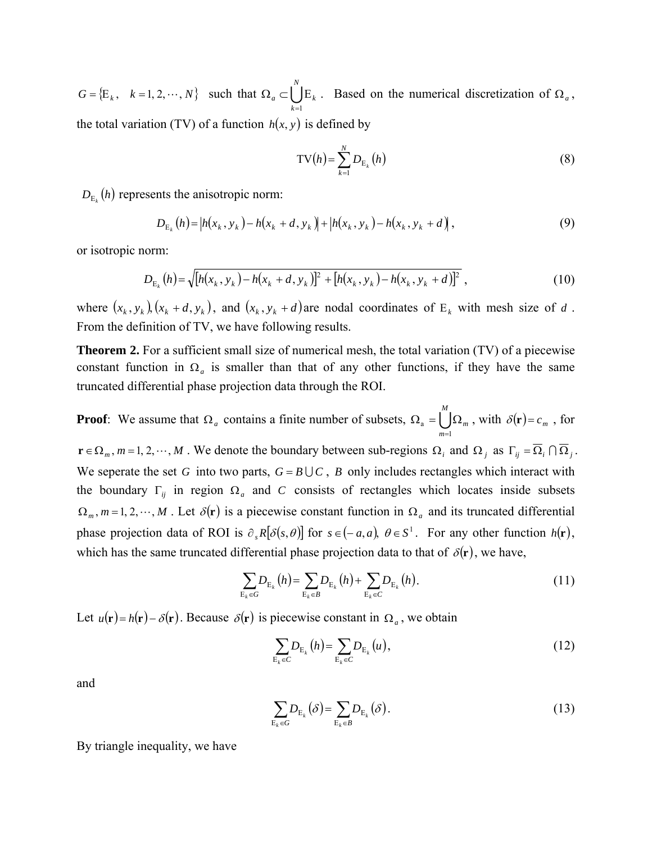$G = \{E_k, k = 1, 2, \cdots, N\}$  such that  $\Omega_a \subset \bigcup_{k=1}^{N}$ *N k*  $a \leftarrow \bigcup K$  $=1$  $\Omega_a \subset \bigcup E_k$ . Based on the numerical discretization of  $\Omega_a$ , the total variation (TV) of a function  $h(x, y)$  is defined by

$$
TV(h) = \sum_{k=1}^{N} D_{E_k}(h)
$$
\n(8)

 $D_{\mathrm{E}_{k}}(h)$  represents the anisotropic norm:

$$
D_{E_k}(h) = |h(x_k, y_k) - h(x_k + d, y_k)| + |h(x_k, y_k) - h(x_k, y_k + d)|,
$$
\n(9)

or isotropic norm:

$$
D_{E_k}(h) = \sqrt{[h(x_k, y_k) - h(x_k + d, y_k)]^2 + [h(x_k, y_k) - h(x_k, y_k + d)]^2},
$$
\n(10)

where  $(x_k, y_k)$ ,  $(x_k + d, y_k)$ , and  $(x_k, y_k + d)$  are nodal coordinates of  $E_k$  with mesh size of *d*. From the definition of TV, we have following results.

**Theorem 2.** For a sufficient small size of numerical mesh, the total variation (TV) of a piecewise constant function in  $\Omega_a$  is smaller than that of any other functions, if they have the same truncated differential phase projection data through the ROI.

**Proof**: We assume that  $\Omega_a$  contains a finite number of subsets,  $\Omega_a = \bigcup_{n=1}^{\infty}$ *M m m* 1 a =  $\Omega_a = \bigcup \Omega_m$ , with  $\delta(\mathbf{r}) = c_m$ , for  $\mathbf{r} \in \Omega_m$ ,  $m = 1, 2, \dots, M$ . We denote the boundary between sub-regions  $\Omega_i$  and  $\Omega_j$  as  $\Gamma_{ij} = \overline{\Omega}_i \cap \overline{\Omega}_j$ . We seperate the set *G* into two parts,  $G = B \cup C$ , *B* only includes rectangles which interact with the boundary  $\Gamma_{ij}$  in region  $\Omega_a$  and *C* consists of rectangles which locates inside subsets  $\Omega_m$ ,  $m = 1, 2, \dots, M$ . Let  $\delta(\mathbf{r})$  is a piecewise constant function in  $\Omega_a$  and its truncated differential phase projection data of ROI is  $\partial_s R[\delta(s, \theta)]$  for  $s \in (-a, a)$ ,  $\theta \in S^1$ . For any other function  $h(\mathbf{r})$ , which has the same truncated differential phase projection data to that of  $\delta(\mathbf{r})$ , we have,

$$
\sum_{E_k \in G} D_{E_k}(h) = \sum_{E_k \in B} D_{E_k}(h) + \sum_{E_k \in C} D_{E_k}(h).
$$
\n(11)

Let  $u(\mathbf{r}) = h(\mathbf{r}) - \delta(\mathbf{r})$ . Because  $\delta(\mathbf{r})$  is piecewise constant in  $\Omega_a$ , we obtain

$$
\sum_{E_k \in C} D_{E_k}(h) = \sum_{E_k \in C} D_{E_k}(u),
$$
\n(12)

and

$$
\sum_{\mathcal{E}_k \in G} D_{\mathcal{E}_k}(\delta) = \sum_{\mathcal{E}_k \in B} D_{\mathcal{E}_k}(\delta).
$$
 (13)

By triangle inequality, we have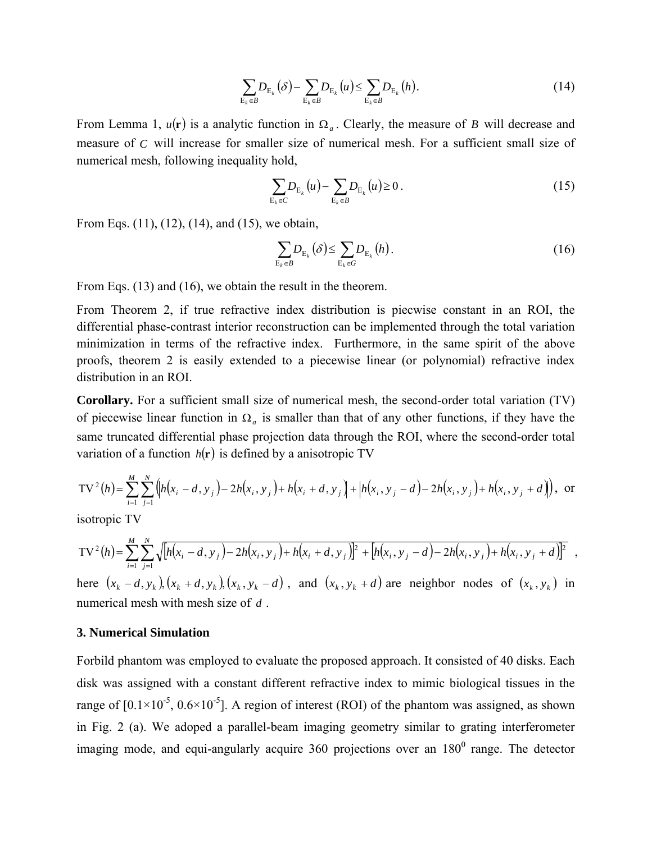$$
\sum_{\mathcal{E}_k \in \mathcal{B}} D_{\mathcal{E}_k}(\delta) - \sum_{\mathcal{E}_k \in \mathcal{B}} D_{\mathcal{E}_k}(u) \le \sum_{\mathcal{E}_k \in \mathcal{B}} D_{\mathcal{E}_k}(h). \tag{14}
$$

From Lemma 1,  $u(\mathbf{r})$  is a analytic function in  $\Omega_a$ . Clearly, the measure of *B* will decrease and measure of *C* will increase for smaller size of numerical mesh. For a sufficient small size of numerical mesh, following inequality hold,

$$
\sum_{E_k \in C} D_{E_k}(u) - \sum_{E_k \in B} D_{E_k}(u) \ge 0.
$$
 (15)

From Eqs. (11), (12), (14), and (15), we obtain,

$$
\sum_{\mathrm{E}_k \in B} D_{\mathrm{E}_k}(\delta) \le \sum_{\mathrm{E}_k \in G} D_{\mathrm{E}_k}(h). \tag{16}
$$

From Eqs. (13) and (16), we obtain the result in the theorem.

From Theorem 2, if true refractive index distribution is piecwise constant in an ROI, the differential phase-contrast interior reconstruction can be implemented through the total variation minimization in terms of the refractive index. Furthermore, in the same spirit of the above proofs, theorem 2 is easily extended to a piecewise linear (or polynomial) refractive index distribution in an ROI.

**Corollary.** For a sufficient small size of numerical mesh, the second-order total variation (TV) of piecewise linear function in  $\Omega_a$  is smaller than that of any other functions, if they have the same truncated differential phase projection data through the ROI, where the second-order total variation of a function  $h(\mathbf{r})$  is defined by a anisotropic TV

$$
TV^{2}(h) = \sum_{i=1}^{M} \sum_{j=1}^{N} \left( h(x_{i} - d, y_{j}) - 2h(x_{i}, y_{j}) + h(x_{i} + d, y_{j}) + \left| h(x_{i}, y_{j} - d) - 2h(x_{i}, y_{j}) + h(x_{i}, y_{j} + d) \right| \right), \text{ or}
$$

isotropic TV

$$
TV^{2}(h) = \sum_{i=1}^{M} \sum_{j=1}^{N} \sqrt{[h(x_{i} - d, y_{j}) - 2h(x_{i}, y_{j}) + h(x_{i} + d, y_{j})]^{2} + [h(x_{i}, y_{j} - d) - 2h(x_{i}, y_{j}) + h(x_{i}, y_{j} + d)]^{2}}
$$

here  $(x_k - d, y_k)(x_k + d, y_k)(x_k, y_k - d)$ , and  $(x_k, y_k + d)$  are neighbor nodes of  $(x_k, y_k)$  in numerical mesh with mesh size of *d* .

#### **3. Numerical Simulation**

Forbild phantom was employed to evaluate the proposed approach. It consisted of 40 disks. Each disk was assigned with a constant different refractive index to mimic biological tissues in the range of  $[0.1 \times 10^{-5}, 0.6 \times 10^{-5}]$ . A region of interest (ROI) of the phantom was assigned, as shown in Fig. 2 (a). We adoped a parallel-beam imaging geometry similar to grating interferometer imaging mode, and equi-angularly acquire 360 projections over an  $180^{\circ}$  range. The detector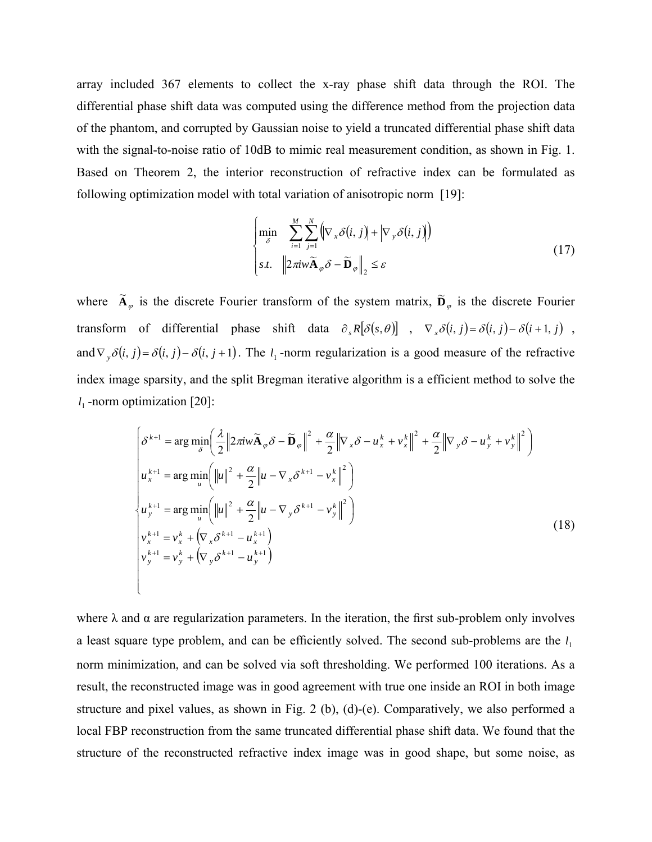array included 367 elements to collect the x-ray phase shift data through the ROI. The differential phase shift data was computed using the difference method from the projection data of the phantom, and corrupted by Gaussian noise to yield a truncated differential phase shift data with the signal-to-noise ratio of 10dB to mimic real measurement condition, as shown in Fig. 1. Based on Theorem 2, the interior reconstruction of refractive index can be formulated as following optimization model with total variation of anisotropic norm [19]:

$$
\begin{cases}\n\min_{\delta} & \sum_{i=1}^{M} \sum_{j=1}^{N} \left( \nabla_x \delta(i,j) + \left| \nabla_y \delta(i,j) \right| \right) \\
\text{s.t.} & \left\| 2\pi i w \tilde{\mathbf{A}}_{\varphi} \delta - \tilde{\mathbf{D}}_{\varphi} \right\|_{2} \leq \varepsilon\n\end{cases} \tag{17}
$$

where  $\tilde{A}_{\varphi}$  is the discrete Fourier transform of the system matrix,  $\tilde{D}_{\varphi}$  is the discrete Fourier transform of differential phase shift data  $\partial_s R[\delta(s, \theta)]$ ,  $\nabla_x \delta(i, j) = \delta(i, j) - \delta(i + 1, j)$ , and  $\nabla_y \delta(i, j) = \delta(i, j) - \delta(i, j + 1)$ . The  $l_1$ -norm regularization is a good measure of the refractive index image sparsity, and the split Bregman iterative algorithm is a efficient method to solve the  $l_1$  -norm optimization [20]:

$$
\begin{aligned}\n\left(\delta^{k+1} &= \arg \min_{\delta} \left(\frac{\lambda}{2} \left\| 2\pi i w \widetilde{\mathbf{A}}_{\varphi} \delta - \widetilde{\mathbf{D}}_{\varphi} \right\|^2 + \frac{\alpha}{2} \left\| \nabla_x \delta - u_x^k + v_x^k \right\|^2 + \frac{\alpha}{2} \left\| \nabla_y \delta - u_y^k + v_y^k \right\|^2 \right) \\
u_x^{k+1} &= \arg \min_{u} \left( \left\| u \right\|^2 + \frac{\alpha}{2} \left\| u - \nabla_x \delta^{k+1} - v_x^k \right\|^2 \right) \\
u_y^{k+1} &= \arg \min_{u} \left( \left\| u \right\|^2 + \frac{\alpha}{2} \left\| u - \nabla_y \delta^{k+1} - v_y^k \right\|^2 \right) \\
v_x^{k+1} &= v_x^k + \left( \nabla_x \delta^{k+1} - u_x^{k+1} \right) \\
v_y^{k+1} &= v_y^k + \left( \nabla_y \delta^{k+1} - u_y^{k+1} \right)\n\end{aligned} \tag{18}
$$

where  $\lambda$  and  $\alpha$  are regularization parameters. In the iteration, the first sub-problem only involves a least square type problem, and can be efficiently solved. The second sub-problems are the 1*l* norm minimization, and can be solved via soft thresholding. We performed 100 iterations. As a result, the reconstructed image was in good agreement with true one inside an ROI in both image structure and pixel values, as shown in Fig. 2 (b), (d)-(e). Comparatively, we also performed a local FBP reconstruction from the same truncated differential phase shift data. We found that the structure of the reconstructed refractive index image was in good shape, but some noise, as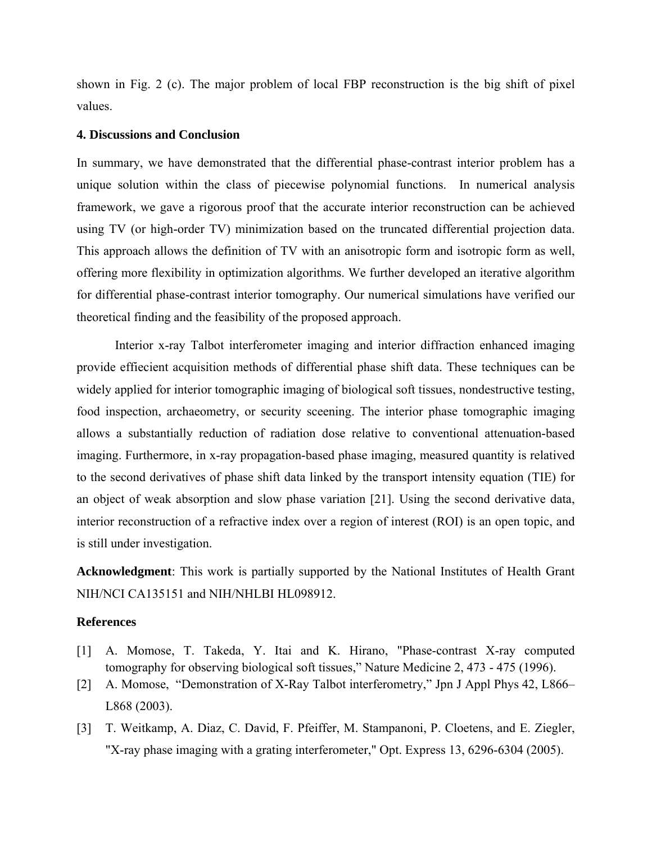shown in Fig. 2 (c). The major problem of local FBP reconstruction is the big shift of pixel values.

#### **4. Discussions and Conclusion**

In summary, we have demonstrated that the differential phase-contrast interior problem has a unique solution within the class of piecewise polynomial functions. In numerical analysis framework, we gave a rigorous proof that the accurate interior reconstruction can be achieved using TV (or high-order TV) minimization based on the truncated differential projection data. This approach allows the definition of TV with an anisotropic form and isotropic form as well, offering more flexibility in optimization algorithms. We further developed an iterative algorithm for differential phase-contrast interior tomography. Our numerical simulations have verified our theoretical finding and the feasibility of the proposed approach.

Interior x-ray Talbot interferometer imaging and interior diffraction enhanced imaging provide effiecient acquisition methods of differential phase shift data. These techniques can be widely applied for interior tomographic imaging of biological soft tissues, nondestructive testing, food inspection, archaeometry, or security sceening. The interior phase tomographic imaging allows a substantially reduction of radiation dose relative to conventional attenuation-based imaging. Furthermore, in x-ray propagation-based phase imaging, measured quantity is relatived to the second derivatives of phase shift data linked by the transport intensity equation (TIE) for an object of weak absorption and slow phase variation [21]. Using the second derivative data, interior reconstruction of a refractive index over a region of interest (ROI) is an open topic, and is still under investigation.

**Acknowledgment**: This work is partially supported by the National Institutes of Health Grant NIH/NCI CA135151 and NIH/NHLBI HL098912.

#### **References**

- [1] A. Momose, T. Takeda, Y. Itai and K. Hirano, "Phase-contrast X-ray computed tomography for observing biological soft tissues," Nature Medicine 2, 473 - 475 (1996).
- [2] A. Momose, "Demonstration of X-Ray Talbot interferometry," Jpn J Appl Phys 42, L866– L868 (2003).
- [3] T. Weitkamp, A. Diaz, C. David, F. Pfeiffer, M. Stampanoni, P. Cloetens, and E. Ziegler, "X-ray phase imaging with a grating interferometer," Opt. Express 13, 6296-6304 (2005).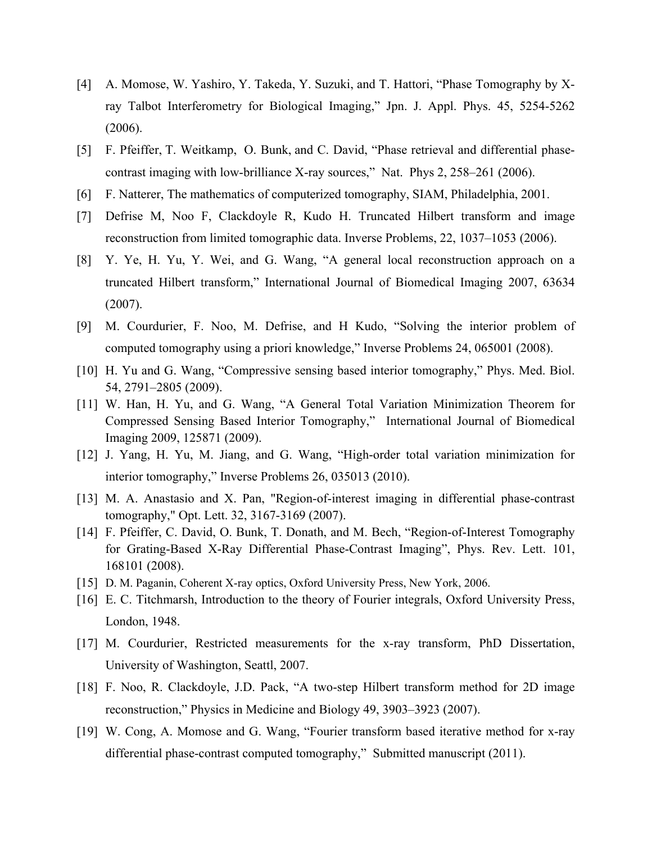- [4] A. Momose, W. Yashiro, Y. Takeda, Y. Suzuki, and T. Hattori, "Phase Tomography by Xray Talbot Interferometry for Biological Imaging," Jpn. J. Appl. Phys. 45, 5254-5262 (2006).
- [5] F. Pfeiffer, T. Weitkamp, O. Bunk, and C. David, "Phase retrieval and differential phasecontrast imaging with low-brilliance X-ray sources," Nat. Phys 2, 258–261 (2006).
- [6] F. Natterer, The mathematics of computerized tomography, SIAM, Philadelphia, 2001.
- [7] Defrise M, Noo F, Clackdoyle R, Kudo H. Truncated Hilbert transform and image reconstruction from limited tomographic data. Inverse Problems, 22, 1037–1053 (2006).
- [8] Y. Ye, H. Yu, Y. Wei, and G. Wang, "A general local reconstruction approach on a truncated Hilbert transform," International Journal of Biomedical Imaging 2007, 63634 (2007).
- [9] M. Courdurier, F. Noo, M. Defrise, and H Kudo, "Solving the interior problem of computed tomography using a priori knowledge," Inverse Problems 24, 065001 (2008).
- [10] H. Yu and G. Wang, "Compressive sensing based interior tomography," Phys. Med. Biol. 54, 2791–2805 (2009).
- [11] W. Han, H. Yu, and G. Wang, "A General Total Variation Minimization Theorem for Compressed Sensing Based Interior Tomography," International Journal of Biomedical Imaging 2009, 125871 (2009).
- [12] J. Yang, H. Yu, M. Jiang, and G. Wang, "High-order total variation minimization for interior tomography," Inverse Problems 26, 035013 (2010).
- [13] M. A. Anastasio and X. Pan, "Region-of-interest imaging in differential phase-contrast tomography," Opt. Lett. 32, 3167-3169 (2007).
- [14] F. Pfeiffer, C. David, O. Bunk, T. Donath, and M. Bech, "Region-of-Interest Tomography for Grating-Based X-Ray Differential Phase-Contrast Imaging", Phys. Rev. Lett. 101, 168101 (2008).
- [15] D. M. Paganin, Coherent X-ray optics, Oxford University Press, New York, 2006.
- [16] E. C. Titchmarsh, Introduction to the theory of Fourier integrals, Oxford University Press, London, 1948.
- [17] M. Courdurier, Restricted measurements for the x-ray transform, PhD Dissertation, University of Washington, Seattl, 2007.
- [18] F. Noo, R. Clackdoyle, J.D. Pack, "A two-step Hilbert transform method for 2D image reconstruction," Physics in Medicine and Biology 49, 3903–3923 (2007).
- [19] W. Cong, A. Momose and G. Wang, "Fourier transform based iterative method for x-ray differential phase-contrast computed tomography," Submitted manuscript (2011).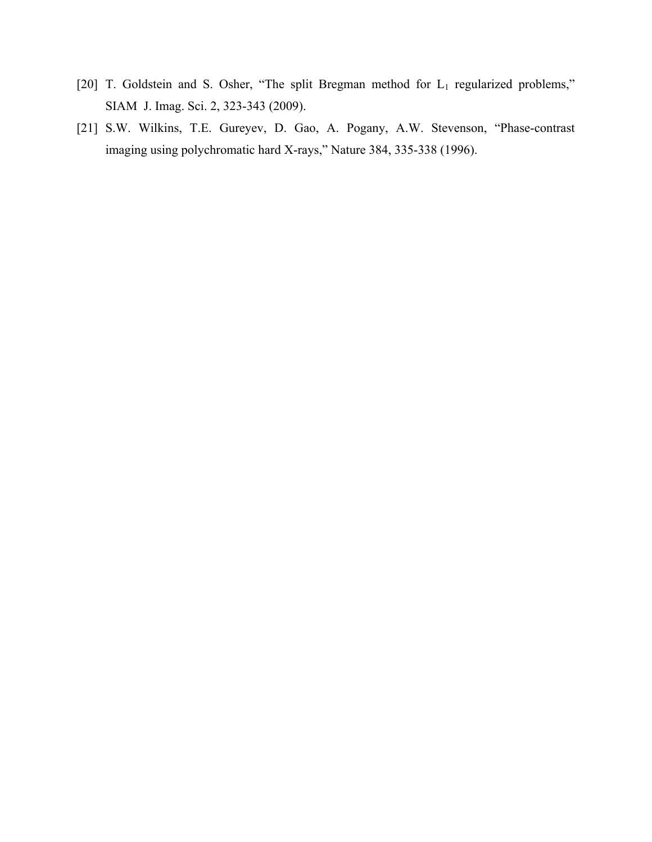- [20] T. Goldstein and S. Osher, "The split Bregman method for L<sub>1</sub> regularized problems," SIAM J. Imag. Sci. 2, 323-343 (2009).
- [21] S.W. Wilkins, T.E. Gureyev, D. Gao, A. Pogany, A.W. Stevenson, "Phase-contrast imaging using polychromatic hard X-rays," Nature 384, 335-338 (1996).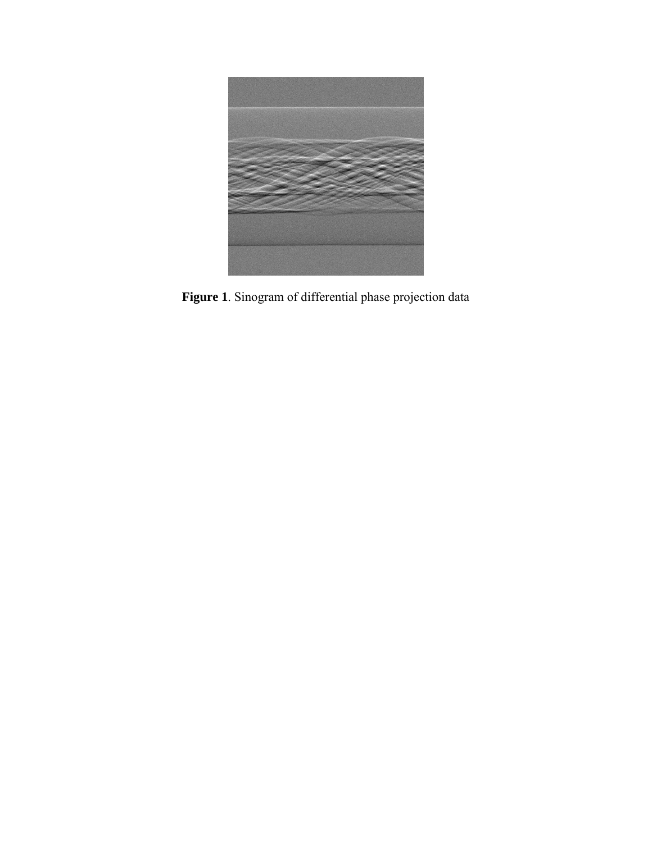

**Figure 1**. Sinogram of differential phase projection data